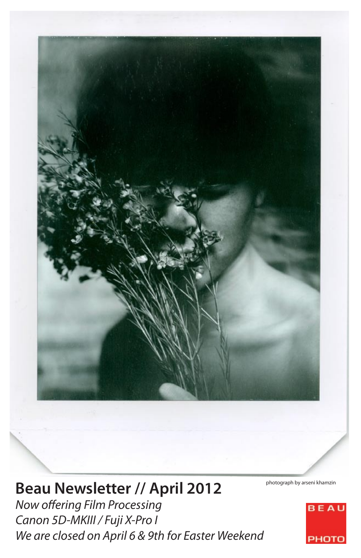

# **Beau Newsletter // April 2012**

*Now offering Film Processing Canon 5D-MKIII / Fuji X-Pro I We are closed on April 6 & 9th for Easter Weekend*

photograph by arseni khamzin

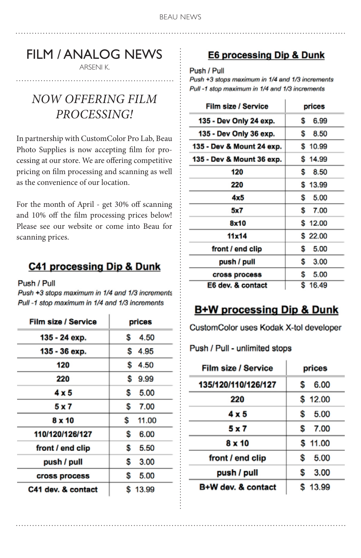# FILM / ANALOG NEWS

ARSENI K.

# *now offering film processing!*

In partnership with CustomColor Pro Lab, Beau Photo Supplies is now accepting film for processing at our store. We are offering competitive pricing on film processing and scanning as well as the convenience of our location.

For the month of April - get 30% off scanning and 10% off the film processing prices below! Please see our website or come into Beau for scanning prices.

## C41 processing Dip & Dunk

Push / Pull

Push +3 stops maximum in 1/4 and 1/3 increments Pull -1 stop maximum in 1/4 and 1/3 increments

| Film size / Service | prices      |
|---------------------|-------------|
| 135 - 24 ехр.       | S.<br>4.50  |
| 135 - 36 ехр.       | \$4.95      |
| 120                 | \$<br>4.50  |
| 220                 | S<br>9.99   |
| 4 x 5               | S<br>5.00   |
| 5 x 7               | \$<br>7.00  |
| 8 x 10              | \$<br>11.00 |
| 110/120/126/127     | Ŝ<br>6.00   |
| front / end clip    | S<br>5.50   |
| push / pull         | S.<br>3.00  |
| cross process       | S<br>5.00   |
| C41 dev. & contact  | \$13.99     |

### E6 processing Dip & Dunk

Push / Pull

Push +3 stops maximum in 1/4 and 1/3 increments Pull -1 stop maximum in 1/4 and 1/3 increments

| Film size / Service       | prices     |
|---------------------------|------------|
| 135 - Dev Only 24 exp.    | S.<br>6.99 |
| 135 - Dev Only 36 exp.    | s.<br>8.50 |
| 135 - Dev & Mount 24 exp. | \$10.99    |
| 135 - Dev & Mount 36 exp. | \$14.99    |
| 120                       | S.<br>8.50 |
| 220                       | \$13.99    |
| 4x5                       | 5.00<br>s. |
| 5x7                       | S.<br>7.00 |
| 8x10                      | \$12.00    |
| 11x14                     | \$22.00    |
| front / end clip          | \$<br>5.00 |
| push / pull               | s.<br>3.00 |
| cross process             | \$<br>5.00 |
| E6 dev. & contact         | \$16.49    |

## **B+W processing Dip & Dunk**

CustomColor uses Kodak X-tol developer

Push / Pull - unlimited stops

| Film size / Service | prices     |
|---------------------|------------|
| 135/120/110/126/127 | 6.00<br>S  |
| 220                 | \$12.00    |
| 4 x 5               | \$<br>5.00 |
| 5 x 7               | S<br>7.00  |
| 8 x 10              | \$11.00    |
| front / end clip    | \$<br>5.00 |
| push / pull         | 3.00<br>S  |
| B+W dev. & contact  | \$13.99    |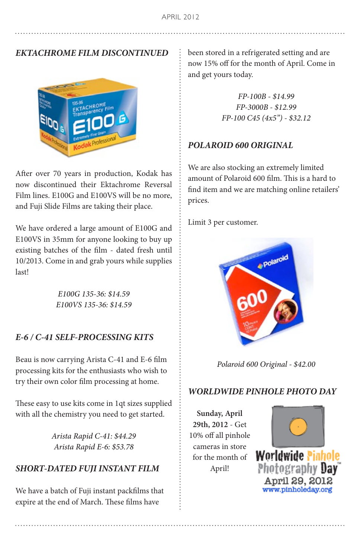### *EKTACHROME FILM DISCONTINUED*



After over 70 years in production, Kodak has now discontinued their Ektachrome Reversal Film lines. E100G and E100VS will be no more, and Fuji Slide Films are taking their place.

We have ordered a large amount of E100G and E100VS in 35mm for anyone looking to buy up existing batches of the film - dated fresh until 10/2013. Come in and grab yours while supplies last!

> *E100G 135-36: \$14.59 E100VS 135-36: \$14.59*

#### *E-6 / C-41 SELF-PROCESSING KITS*

Beau is now carrying Arista C-41 and E-6 film processing kits for the enthusiasts who wish to try their own color film processing at home.

These easy to use kits come in 1qt sizes supplied with all the chemistry you need to get started.

> *Arista Rapid C-41: \$44.29 Arista Rapid E-6: \$53.78*

#### *SHORT-DATED FUJI INSTANT FILM*

We have a batch of Fuji instant packfilms that expire at the end of March. These films have

been stored in a refrigerated setting and are now 15% off for the month of April. Come in and get yours today.

> *FP-100B - \$14.99 FP-3000B - \$12.99 FP-100 C45 (4x5") - \$32.12*

#### *POLAROID 600 ORIGINAL*

We are also stocking an extremely limited amount of Polaroid 600 film. This is a hard to find item and we are matching online retailers' prices.

Limit 3 per customer.



*Polaroid 600 Original - \$42.00*

#### *WORLDWIDE PINHOLE PHOTO DAY*

**Sunday, April 29th, 2012** - Get 10% off all pinhol[e](http://www.pinholeday.org)  cameras in store for the month of April!

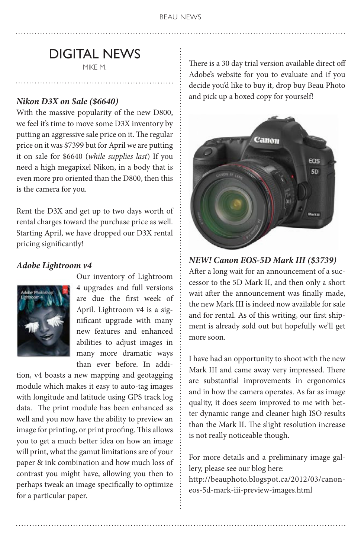# DIGITAL NEWS

MIKE M.

#### *Nikon D3X on Sale (\$6640)*

With the massive popularity of the new D800, we feel it's time to move some D3X inventory by putting an aggressive sale price on it. The regular price on it was \$7399 but for April we are putting it on sale for \$6640 (*while supplies last*) If you need a high megapixel Nikon, in a body that is even more pro oriented than the D800, then this is the camera for you.

Rent the D3X and get up to two days worth of rental charges toward the purchase price as well. Starting April, we have dropped our D3X rental pricing significantly!

#### *Adobe Lightroom v4*



Our inventory of Lightroom 4 upgrades and full versions are due the first week of April. Lightroom v4 is a significant upgrade with many new features and enhanced abilities to adjust images in many more dramatic ways than ever before. In addi-

tion, v4 boasts a new mapping and geotagging module which makes it easy to auto-tag images with longitude and latitude using GPS track log data. The print module has been enhanced as well and you now have the ability to preview an image for printing, or print proofing. This allows you to get a much better idea on how an image will print, what the gamut limitations are of your paper & ink combination and how much loss of contrast you might have, allowing you then to perhaps tweak an image specifically to optimize for a particular paper.

There is a 30 day trial version available direct off Adobe's website for you to evaluate and if you decide you'd like to buy it, drop buy Beau Photo and pick up a boxed copy for yourself!



#### *NEW! Canon EOS-5D Mark III (\$3739)*

After a long wait for an announcement of a successor to the 5D Mark II, and then only a short wait after the announcement was finally made, the new Mark III is indeed now available for sale and for rental. As of this writing, our first shipment is already sold out but hopefully we'll get more soon.

I have had an opportunity to shoot with the new Mark III and came away very impressed. There are substantial improvements in ergonomics and in how the camera operates. As far as image quality, it does seem improved to me with better dynamic range and cleaner high ISO results than the Mark II. The slight resolution increase is not really noticeable though.

For more details and a preliminary image gallery, please see our blog here: http://beauphoto.blogspot.ca/2012/03/canon-

eos-5d-mark-iii-preview-images.html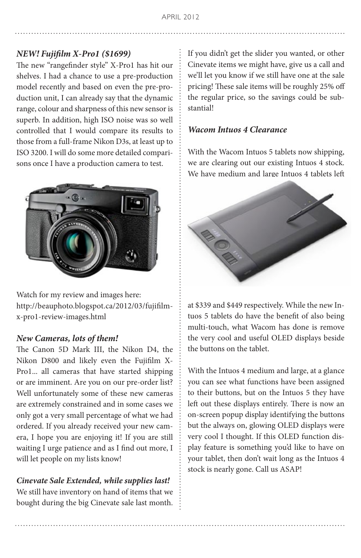#### *NEW! Fujifilm X-Pro1 (\$1699)*

The new "rangefinder style" X-Pro1 has hit our shelves. I had a chance to use a pre-production model recently and based on even the pre-production unit, I can already say that the dynamic range, colour and sharpness of this new sensor is superb. In addition, high ISO noise was so well controlled that I would compare its results to those from a full-frame Nikon D3s, at least up to ISO 3200. I will do some more detailed comparisons once I have a production camera to test.



Watch for my review and images here: http://beauphoto.blogspot.ca/2012/03/fujifilmx-pro1-review-images.html

#### *New Cameras, lots of them!*

The Canon 5D Mark III, the Nikon D4, the Nikon D800 and likely even the Fujifilm X-Pro1... all cameras that have started shipping or are imminent. Are you on our pre-order list? Well unfortunately some of these new cameras are extremely constrained and in some cases we only got a very small percentage of what we had ordered. If you already received your new camera, I hope you are enjoying it! If you are still waiting I urge patience and as I find out more, I will let people on my lists know!

#### *Cinevate Sale Extended, while supplies last!*

We still have inventory on hand of items that we bought during the big Cinevate sale last month.

If you didn't get the slider you wanted, or other Cinevate items we might have, give us a call and we'll let you know if we still have one at the sale pricing! These sale items will be roughly 25% off the regular price, so the savings could be substantial!

#### *Wacom Intuos 4 Clearance*

With the Wacom Intuos 5 tablets now shipping, we are clearing out our existing Intuos 4 stock. We have medium and large Intuos 4 tablets left



at \$339 and \$449 respectively. While the new Intuos 5 tablets do have the benefit of also being multi-touch, what Wacom has done is remove the very cool and useful OLED displays beside the buttons on the tablet.

With the Intuos 4 medium and large, at a glance you can see what functions have been assigned to their buttons, but on the Intuos 5 they have left out these displays entirely. There is now an on-screen popup display identifying the buttons but the always on, glowing OLED displays were very cool I thought. If this OLED function display feature is something you'd like to have on your tablet, then don't wait long as the Intuos 4 stock is nearly gone. Call us ASAP!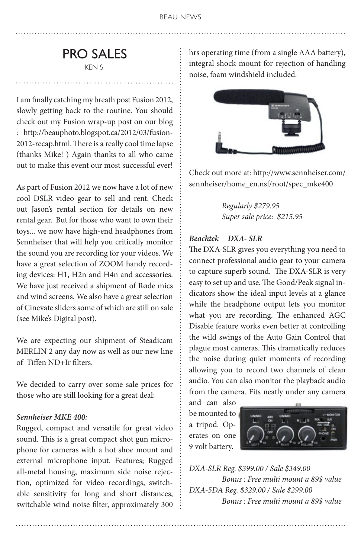# PRO SALES

KEN S.

I am finally catching my breath post Fusion 2012, slowly getting back to the routine. You should check out my Fusion wrap-up post on our blog : http://beauphoto.blogspot.ca/2012/03/fusion-2012-recap.html. There is a really cool time lapse (thanks Mike! ) Again thanks to all who came out to make this event our most successful ever!

As part of Fusion 2012 we now have a lot of new cool DSLR video gear to sell and rent. Check out Jason's rental section for details on new rental gear. But for those who want to own their toys... we now have high-end headphones from Sennheiser that will help you critically monitor the sound you are recording for your videos. We have a great selection of ZOOM handy recording devices: H1, H2n and H4n and accessories. We have just received a shipment of Røde mics and wind screens. We also have a great selection of Cinevate sliders some of which are still on sale (see Mike's Digital post).

We are expecting our shipment of Steadicam MERLIN 2 any day now as well as our new line of Tiffen ND+Ir filters.

We decided to carry over some sale prices for those who are still looking for a great deal:

#### *Sennheiser MKE 400:*

Rugged, compact and versatile for great video sound. This is a great compact shot gun microphone for cameras with a hot shoe mount and external microphone input. Features; Rugged all-metal housing, maximum side noise rejection, optimized for video recordings, switchable sensitivity for long and short distances, switchable wind noise filter, approximately 300 hrs operating time (from a single AAA battery), integral shock-mount for rejection of handling noise, foam windshield included.



Check out more at: http://www.sennheiser.com/ sennheiser/home\_en.nsf/root/spec\_mke400

> *Regularly \$279.95 Super sale price: \$215.95*

#### *Beachtek DXA- SLR*

The DXA-SLR gives you everything you need to connect professional audio gear to your camera to capture superb sound. The DXA-SLR is very easy to set up and use. The Good/Peak signal indicators show the ideal input levels at a glance while the headphone output lets you monitor what you are recording. The enhanced AGC Disable feature works even better at controlling the wild swings of the Auto Gain Control that plague most cameras. This dramatically reduces the noise during quiet moments of recording allowing you to record two channels of clean audio. You can also monitor the playback audio from the camera. Fits neatly under any camera

and can also be mounted to a tripod. Operates on one 9 volt battery.



*DXA-SLR Reg. \$399.00 / Sale \$349.00 Bonus : Free multi mount a 89\$ value DXA-5DA Reg. \$329.00 / Sale \$299.00 Bonus : Free multi mount a 89\$ value*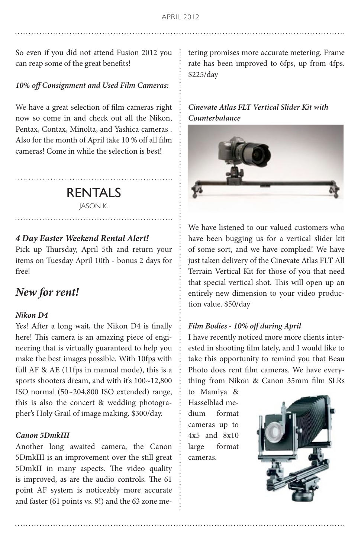So even if you did not attend Fusion 2012 you can reap some of the great benefits!

#### *10% off Consignment and Used Film Cameras:*

We have a great selection of film cameras right now so come in and check out all the Nikon, Pentax, Contax, Minolta, and Yashica cameras . Also for the month of April take 10 % off all film cameras! Come in while the selection is best!

## RENTALS

JASON K.

#### *4 Day Easter Weekend Rental Alert!*

Pick up Thursday, April 5th and return your items on Tuesday April 10th - bonus 2 days for free!

## *New for rent!*

#### *Nikon D4*

Yes! After a long wait, the Nikon D4 is finally here! This camera is an amazing piece of engineering that is virtually guaranteed to help you make the best images possible. With 10fps with full AF & AE (11fps in manual mode), this is a sports shooters dream, and with it's  $100~12,800$ ISO normal (50~204,800 ISO extended) range, this is also the concert & wedding photographer's Holy Grail of image making. \$300/day.

#### *Canon 5DmkIII*

Another long awaited camera, the Canon 5DmkIII is an improvement over the still great 5DmkII in many aspects. The video quality is improved, as are the audio controls. The 61 point AF system is noticeably more accurate and faster (61 points vs. 9!) and the 63 zone metering promises more accurate metering. Frame rate has been improved to 6fps, up from 4fps. \$225/day

#### *Cinevate Atlas FLT Vertical Slider Kit with Counterbalance*



We have listened to our valued customers who have been bugging us for a vertical slider kit of some sort, and we have complied! We have just taken delivery of the Cinevate Atlas FLT All Terrain Vertical Kit for those of you that need that special vertical shot. This will open up an entirely new dimension to your video production value. \$50/day

#### *Film Bodies - 10% off during April*

I have recently noticed more more clients interested in shooting film lately, and I would like to take this opportunity to remind you that Beau Photo does rent film cameras. We have everything from Nikon & Canon 35mm film SLRs

to Mamiya & Hasselblad medium format cameras up to 4x5 and 8x10 large format cameras.

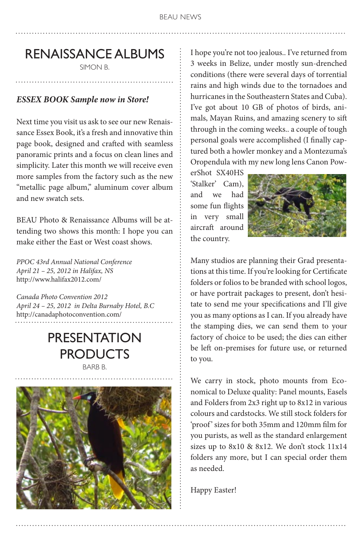# RENAISSANCE ALBUMS

SIMON B.

#### *ESSEX BOOK Sample now in Store!*

Next time you visit us ask to see our new Renaissance Essex Book, it's a fresh and innovative thin page book, designed and crafted with seamless panoramic prints and a focus on clean lines and simplicity. Later this month we will receive even more samples from the factory such as the new "metallic page album," aluminum cover album and new swatch sets.

BEAU Photo & Renaissance Albums will be attending two shows this month: I hope you can make either the East or West coast shows.

*PPOC 43rd Annual National Conference April 21 – 25, 2012 in Halifax, NS* http://www.halifax2012.com/

*Canada Photo Convention 2012 April 24 – 25, 2012 in Delta Burnaby Hotel, B.C* http://canadaphotoconvention.com/

# PRESENTATION PRODUCTS

BARB B.



I hope you're not too jealous.. I've returned from 3 weeks in Belize, under mostly sun-drenched conditions (there were several days of torrential rains and high winds due to the tornadoes and hurricanes in the Southeastern States and Cuba). I've got about 10 GB of photos of birds, animals, Mayan Ruins, and amazing scenery to sift through in the coming weeks.. a couple of tough personal goals were accomplished (I finally captured both a howler monkey and a Montezuma's Oropendula with my new long lens Canon Pow-

erShot SX40HS 'Stalker' Cam), and we had some fun flights in very small aircraft around the country.



Many studios are planning their Grad presentations at this time. If you're looking for Certificate folders or folios to be branded with school logos, or have portrait packages to present, don't hesitate to send me your specifications and I'll give you as many options as I can. If you already have the stamping dies, we can send them to your factory of choice to be used; the dies can either be left on-premises for future use, or returned to you.

We carry in stock, photo mounts from Economical to Deluxe quality: Panel mounts, Easels and Folders from 2x3 right up to 8x12 in various colours and cardstocks. We still stock folders for 'proof' sizes for both 35mm and 120mm film for you purists, as well as the standard enlargement sizes up to 8x10 & 8x12. We don't stock 11x14 folders any more, but I can special order them as needed.

Happy Easter!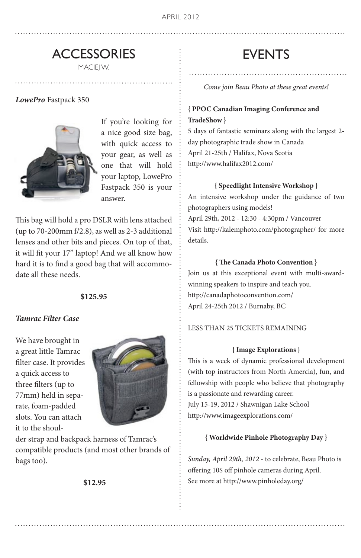### **ACCESSORIES** MACIEJ W.

*LowePro* Fastpack 350



If you're looking for a nice good size bag, with quick access to your gear, as well as one that will hold your laptop, LowePro Fastpack 350 is your answer.

This bag will hold a pro DSLR with lens attached (up to 70-200mm f/2.8), as well as 2-3 additional lenses and other bits and pieces. On top of that, it will fit your 17" laptop! And we all know how hard it is to find a good bag that will accommodate all these needs.

#### **\$125.95**

#### *Tamrac Filter Case*

We have brought in a great little Tamrac filter case. It provides a quick access to three filters (up to 77mm) held in separate, foam-padded slots. You can attach it to the shoul-



der strap and backpack harness of Tamrac's compatible products (and most other brands of bags too).

 **\$12.95**

## EVENTS

*Come join Beau Photo at these great events!*

#### **{ PPOC Canadian Imaging Conference and TradeShow }**

5 days of fantastic seminars along with the largest 2 day photographic trade show in Canada April 21-25th / Halifax, Nova Scotia http://www.halifax2012.com/

#### **{ Speedlight Intensive Workshop }**

An intensive workshop under the guidance of two photographers using models! April 29th, 2012 - 12:30 - 4:30pm / Vancouver Visit http://kalemphoto.com/photographer/ for more details.

#### **{ The Canada Photo Convention }**

Join us at this exceptional event with multi-awardwinning speakers to inspire and teach you. http://canadaphotoconvention.com/ April 24-25th 2012 / Burnaby, BC

#### LESS THAN 25 TICKETS REMAINING

#### **{ Image Explorations }**

This is a week of dynamic professional development (with top instructors from North Amercia), fun, and fellowship with people who believe that photography is a passionate and rewarding career. July 15-19, 2012 / Shawnigan Lake School http://www.imageexplorations.com/

#### **{ Worldwide Pinhole Photography Day }**

*Sunday, April 29th, 2012* - to celebrate, Beau Photo is offering 10\$ off pinhole cameras during April. See more at http://www.pinholeday.org/